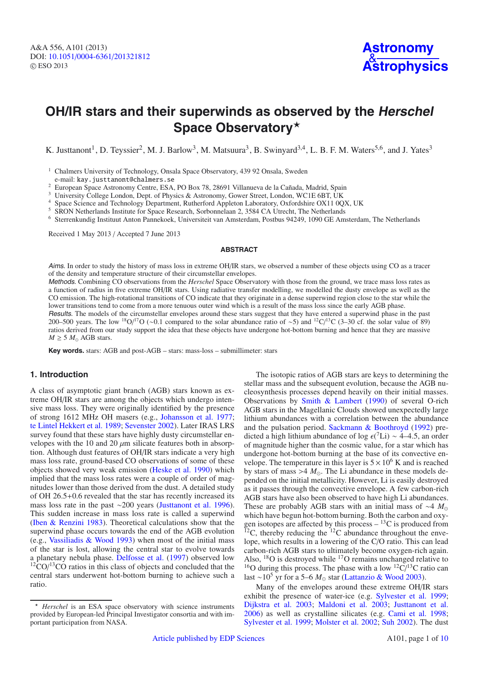# **OH/IR stars and their superwinds as observed by the Herschel** Space Observatory\*

K. Justtanont<sup>1</sup>, D. Teyssier<sup>2</sup>, M. J. Barlow<sup>3</sup>, M. Matsuura<sup>3</sup>, B. Swinyard<sup>3,4</sup>, L. B. F. M. Waters<sup>5,6</sup>, and J. Yates<sup>3</sup>

<sup>1</sup> Chalmers University of Technology, Onsala Space Observatory, 439 92 Onsala, Sweden e-mail: kay.justtanont@chalmers.se

<sup>2</sup> European Space Astronomy Centre, ESA, PO Box 78, 28691 Villanueva de la Cañada, Madrid, Spain

<sup>3</sup> University College London, Dept. of Physics & Astronomy, Gower Street, London, WC1E 6BT, UK

<sup>4</sup> Space Science and Technology Department, Rutherford Appleton Laboratory, Oxfordshire OX11 0QX, UK

<sup>5</sup> SRON Netherlands Institute for Space Research, Sorbonnelaan 2, 3584 CA Utrecht, The Netherlands

<sup>6</sup> Sterrenkundig Instituut Anton Pannekoek, Universiteit van Amsterdam, Postbus 94249, 1090 GE Amsterdam, The Netherlands

Received 1 May 2013 / Accepted 7 June 2013

## **ABSTRACT**

Aims. In order to study the history of mass loss in extreme OH/IR stars, we observed a number of these objects using CO as a tracer of the density and temperature structure of their circumstellar envelopes.

Methods. Combining CO observations from the *Herschel* Space Observatory with those from the ground, we trace mass loss rates as a function of radius in five extreme OH/IR stars. Using radiative transfer modelling, we modelled the dusty envelope as well as the CO emission. The high-rotational transitions of CO indicate that they originate in a dense superwind region close to the star while the lower transitions tend to come from a more tenuous outer wind which is a result of the mass loss since the early AGB phase.

Results. The models of the circumstellar envelopes around these stars suggest that they have entered a superwind phase in the past 200–500 years. The low <sup>18</sup>O/<sup>17</sup>O (∼0.1 compared to the solar abundance ratio of ∼5) and <sup>12</sup>C/<sup>13</sup>C (3–30 cf. the solar value of 89) ratios derived from our study support the idea that these objects have undergone hot-bottom burning and hence that they are massive  $M \geq 5$   $M_{\odot}$  AGB stars.

**Key words.** stars: AGB and post-AGB – stars: mass-loss – submillimeter: stars

## **1. Introduction**

A class of asymptotic giant branch (AGB) stars known as extreme OH/IR stars are among the objects which undergo intensive mass loss. They were originally identified by the presence of strong 1612 MHz OH masers (e.g., [Johansson et al. 1977;](#page-8-0) [te Lintel Hekkert et al. 1989;](#page-9-0) [Sevenster 2002](#page-9-1)). Later IRAS LRS survey found that these stars have highly dusty circumstellar envelopes with the 10 and 20  $\mu$ m silicate features both in absorption. Although dust features of OH/IR stars indicate a very high mass loss rate, ground-based CO observations of some of these objects showed very weak emission [\(Heske et al. 1990\)](#page-8-1) which implied that the mass loss rates were a couple of order of magnitudes lower than those derived from the dust. A detailed study of OH 26.5+0.6 revealed that the star has recently increased its mass loss rate in the past ∼200 years [\(Justtanont et al. 1996\)](#page-8-2). This sudden increase in mass loss rate is called a superwind [\(Iben & Renzini 1983](#page-8-3)). Theoretical calculations show that the superwind phase occurs towards the end of the AGB evolution (e.g., [Vassiliadis & Wood 1993](#page-9-2)) when most of the initial mass of the star is lost, allowing the central star to evolve towards a planetary nebula phase. [Delfosse et al.](#page-8-4) [\(1997\)](#page-8-4) observed low  $12^{\circ}$ CO/ $13^{\circ}$ CO ratios in this class of objects and concluded that the central stars underwent hot-bottom burning to achieve such a ratio.

The isotopic ratios of AGB stars are keys to determining the stellar mass and the subsequent evolution, because the AGB nucleosynthesis processes depend heavily on their initial masses. Observations by [Smith & Lambert](#page-9-3) [\(1990\)](#page-9-3) of several O-rich AGB stars in the Magellanic Clouds showed unexpectedly large lithium abundances with a correlation between the abundance and the pulsation period. [Sackmann & Boothroyd](#page-9-4) [\(1992\)](#page-9-4) predicted a high lithium abundance of log  $\epsilon$ (<sup>7</sup>Li) ~ 4–4.5, an order of magnitude higher than the cosmic value, for a star which has undergone hot-bottom burning at the base of its convective envelope. The temperature in this layer is  $5 \times 10^6$  K and is reached by stars of mass  $>4$   $M_{\odot}$ . The Li abundance in these models depended on the initial metallicity. However, Li is easily destroyed as it passes through the convective envelope. A few carbon-rich AGB stars have also been observed to have high Li abundances. These are probably AGB stars with an initial mass of ∼4 *M* which have begun hot-bottom burning. Both the carbon and oxygen isotopes are affected by this process  $-$  <sup>13</sup>C is produced from  $^{12}$ C, thereby reducing the  $^{12}$ C abundance throughout the envelope, which results in a lowering of the C/O ratio. This can lead carbon-rich AGB stars to ultimately become oxygen-rich again. Also, <sup>18</sup>O is destroyed while <sup>17</sup>O remains unchanged relative to <sup>16</sup>O during this process. The phase with a low <sup>12</sup>C/<sup>13</sup>C ratio can last ~10<sup>5</sup> yr for a 5–6 *M*<sub>☉</sub> star [\(Lattanzio & Wood 2003](#page-8-5)).

Many of the envelopes around these extreme OH/IR stars exhibit the presence of water-ice (e.g. [Sylvester et al. 1999;](#page-9-5) [Dijkstra et al. 2003](#page-8-6); [Maldoni et al. 2003;](#page-9-6) [Justtanont et al.](#page-8-7) [2006\)](#page-8-7) as well as crystalline silicates (e.g. [Cami et al. 1998;](#page-8-8) [Sylvester et al. 1999;](#page-9-5) [Molster et al. 2002;](#page-9-7) [Suh 2002](#page-9-8)). The dust

<sup>-</sup> *Herschel* is an ESA space observatory with science instruments provided by European-led Principal Investigator consortia and with important participation from NASA.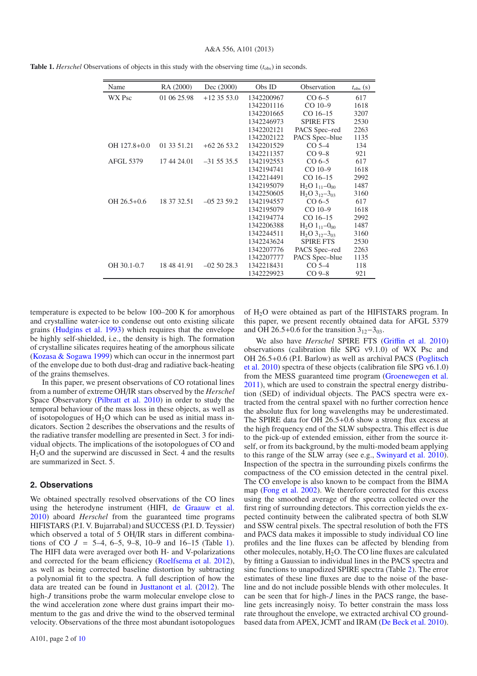| Name             | RA (2000)   | Dec (2000)  | Obs ID     | Observation                      | $t_{\rm obs}$ (s) |
|------------------|-------------|-------------|------------|----------------------------------|-------------------|
| WX Psc           | 01 06 25.98 | $+1235530$  | 1342200967 | $CO6-5$                          | 617               |
|                  |             |             | 1342201116 | $CO$ 10-9                        | 1618              |
|                  |             |             | 1342201665 | $CO$ 16-15                       | 3207              |
|                  |             |             | 1342246973 | <b>SPIRE FTS</b>                 | 2530              |
|                  |             |             | 1342202121 | PACS Spec-red                    | 2263              |
|                  |             |             | 1342202122 | PACS Spec-blue                   | 1135              |
| OH 127.8+0.0     | 01 33 51.21 | $+622653.2$ | 1342201529 | $CO5-4$                          | 134               |
|                  |             |             | 1342211357 | $CO9-8$                          | 921               |
| <b>AFGL 5379</b> | 17 44 24.01 | $-315535.5$ | 1342192553 | $CO6-5$                          | 617               |
|                  |             |             | 1342194741 | $CO$ 10-9                        | 1618              |
|                  |             |             | 1342214491 | $CO$ 16-15                       | 2992              |
|                  |             |             | 1342195079 | $H_2O$ 1 <sub>11</sub> $-0_{00}$ | 1487              |
|                  |             |             | 1342250605 | $H_2O_3^{12} - 3^{03}$           | 3160              |
| $OH 26.5 + 0.6$  | 18 37 32.51 | $-052359.2$ | 1342194557 | $CO6-5$                          | 617               |
|                  |             |             | 1342195079 | $CO$ 10-9                        | 1618              |
|                  |             |             | 1342194774 | $CO$ 16-15                       | 2992              |
|                  |             |             | 1342206388 | $H_2O$ 1 <sub>11</sub> $-0_{00}$ | 1487              |
|                  |             |             | 1342244511 | $H_2O_3^{12} - 3^{03}$           | 3160              |
|                  |             |             | 1342243624 | <b>SPIRE FTS</b>                 | 2530              |
|                  |             |             | 1342207776 | PACS Spec-red                    | 2263              |
|                  |             |             | 1342207777 | PACS Spec-blue                   | 1135              |
| OH 30.1-0.7      | 18 48 41.91 | $-025028.3$ | 1342218431 | $CO5-4$                          | 118               |
|                  |             |             | 1342229923 | $CO9-8$                          | 921               |

<span id="page-1-0"></span>**Table 1.** *Herschel* Observations of objects in this study with the observing time  $(t_{obs})$  in seconds.

temperature is expected to be below 100–200 K for amorphous and crystalline water-ice to condense out onto existing silicate grains [\(Hudgins et al. 1993](#page-8-9)) which requires that the envelope be highly self-shielded, i.e., the density is high. The formation of crystalline silicates requires heating of the amorphous silicate [\(Kozasa & Sogawa 1999\)](#page-8-10) which can occur in the innermost part of the envelope due to both dust-drag and radiative back-heating of the grains themselves.

In this paper, we present observations of CO rotational lines from a number of extreme OH/IR stars observed by the *Herschel* Space Observatory [\(Pilbratt et al. 2010\)](#page-9-10) in order to study the temporal behaviour of the mass loss in these objects, as well as of isotopologues of  $H_2O$  which can be used as initial mass indicators. Section 2 describes the observations and the results of the radiative transfer modelling are presented in Sect. 3 for individual objects. The implications of the isotopologues of CO and H2O and the superwind are discussed in Sect. 4 and the results are summarized in Sect. 5.

## **2. Observations**

We obtained spectrally resolved observations of the CO lines using the heterodyne instrument (HIFI, [de Graauw et al.](#page-8-11) [2010\)](#page-8-11) aboard *Herschel* from the guaranteed time programs HIFISTARS (P.I. V. Bujarrabal) and SUCCESS (P.I. D. Teyssier) which observed a total of 5 OH/IR stars in different combinations of CO  $J = 5-4, 6-5, 9-8, 10-9$  and  $16-15$  (Table [1\)](#page-1-0). The HIFI data were averaged over both H- and V-polarizations and corrected for the beam efficiency [\(Roelfsema et al. 2012\)](#page-9-11), as well as being corrected baseline distortion by subtracting a polynomial fit to the spectra. A full description of how the data are treated can be found in [Justtanont et al.](#page-8-12) [\(2012\)](#page-8-12). The high-*J* transitions probe the warm molecular envelope close to the wind acceleration zone where dust grains impart their momentum to the gas and drive the wind to the observed terminal velocity. Observations of the three most abundant isotopologues of H2O were obtained as part of the HIFISTARS program. In this paper, we present recently obtained data for AFGL 5379 and OH 26.5+0.6 for the transition  $3_{12}-3_{03}$ .

We also have *Herschel* SPIRE FTS (Griffi[n et al. 2010](#page-8-13)) observations (calibration file SPG v9.1.0) of WX Psc and OH 26.5+[0.6](#page-9-12) [\(P.I.](#page-9-12) [Barlow\)](#page-9-12) [as](#page-9-12) [well](#page-9-12) [as](#page-9-12) [archival](#page-9-12) [PACS](#page-9-12) [\(](#page-9-12)Poglitsch et al. [2010](#page-9-12)) spectra of these objects (calibration file SPG v6.1.0) from the MESS guaranteed time program [\(Groenewegen et al.](#page-8-14) [2011\)](#page-8-14), which are used to constrain the spectral energy distribution (SED) of individual objects. The PACS spectra were extracted from the central spaxel with no further correction hence the absolute flux for long wavelengths may be underestimated. The SPIRE data for OH 26.5+0.6 show a strong flux excess at the high frequency end of the SLW subspectra. This effect is due to the pick-up of extended emission, either from the source itself, or from its background, by the multi-moded beam applying to this range of the SLW array (see e.g., [Swinyard et al. 2010\)](#page-9-13). Inspection of the spectra in the surrounding pixels confirms the compactness of the CO emission detected in the central pixel. The CO envelope is also known to be compact from the BIMA map [\(Fong et al. 2002\)](#page-8-15). We therefore corrected for this excess using the smoothed average of the spectra collected over the first ring of surrounding detectors. This correction yields the expected continuity between the calibrated spectra of both SLW and SSW central pixels. The spectral resolution of both the FTS and PACS data makes it impossible to study individual CO line profiles and the line fluxes can be affected by blending from other molecules, notably,  $H_2O$ . The CO line fluxes are calculated by fitting a Gaussian to individual lines in the PACS spectra and sinc functions to unapodized SPIRE spectra (Table [2\)](#page-2-0). The error estimates of these line fluxes are due to the noise of the baseline and do not include possible blends with other molecules. It can be seen that for high-*J* lines in the PACS range, the baseline gets increasingly noisy. To better constrain the mass loss rate throughout the envelope, we extracted archival CO groundbased data from APEX, JCMT and IRAM [\(De Beck et al. 2010\)](#page-8-16).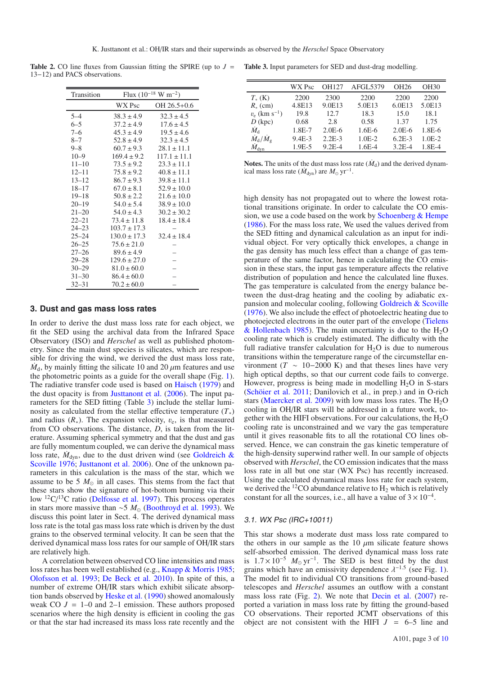<span id="page-2-0"></span>**Table 2.** CO line fluxes from Gaussian fitting the SPIRE (up to *J* = **Table 3.** Input parameters for SED and dust-drag modelling. 13−12) and PACS observations.

| Transition | Flux $(10^{-18} \text{ W m}^{-2})$ |                  |  |
|------------|------------------------------------|------------------|--|
|            | WX Psc                             | OH 26.5+0.6      |  |
| $5 - 4$    | $38.3 \pm 4.9$                     | $32.3 \pm 4.5$   |  |
| $6 - 5$    | $37.2 \pm 4.9$                     | $17.6 \pm 4.5$   |  |
| $7 - 6$    | $45.3 \pm 4.9$                     | $19.5 \pm 4.6$   |  |
| $8 - 7$    | $52.8 \pm 4.9$                     | $32.3 \pm 4.5$   |  |
| 9–8        | $60.7 \pm 9.3$                     | $28.1 \pm 11.1$  |  |
| $10 - 9$   | $169.4 \pm 9.2$                    | $117.1 \pm 11.1$ |  |
| $11 - 10$  | $73.5 \pm 9.2$                     | $23.3 \pm 11.1$  |  |
| $12 - 11$  | $75.8 \pm 9.2$                     | $40.8 \pm 11.1$  |  |
| $13 - 12$  | $86.7 \pm 9.3$                     | $39.8 \pm 11.1$  |  |
| $18 - 17$  | $67.0 \pm 8.1$                     | $52.9 \pm 10.0$  |  |
| $19 - 18$  | $50.8 \pm 2.2$                     | $21.6 \pm 10.0$  |  |
| $20 - 19$  | $54.0 \pm 5.4$                     | $38.9 \pm 10.0$  |  |
| $21 - 20$  | $54.0 \pm 4.3$                     | $30.2 \pm 30.2$  |  |
| $22 - 21$  | $73.4 \pm 11.8$                    | $18.4 \pm 18.4$  |  |
| $24 - 23$  | $103.7 \pm 17.3$                   |                  |  |
| $25 - 24$  | $130.0 \pm 17.3$                   | $32.4 \pm 18.4$  |  |
| $26 - 25$  | $75.6 \pm 21.0$                    |                  |  |
| 27–26      | $89.6 \pm 4.9$                     |                  |  |
| $29 - 28$  | $129.6 \pm 27.0$                   |                  |  |
| $30 - 29$  | $81.0 \pm 60.0$                    |                  |  |
| $31 - 30$  | $86.4 \pm 60.0$                    |                  |  |
| $32 - 31$  | $70.2 \pm 60.0$                    |                  |  |

## **3. Dust and gas mass loss rates**

In order to derive the dust mass loss rate for each object, we fit the SED using the archival data from the Infrared Space Observatory (ISO) and *Herschel* as well as published photometry. Since the main dust species is silicates, which are responsible for driving the wind, we derived the dust mass loss rate,  $\dot{M}_d$ , by mainly fitting the silicate 10 and 20  $\mu$ m features and use the photometric points as a guide for the overall shape (Fig. [1\)](#page-3-0). The radiative transfer code used is based on [Haisch](#page-8-17) [\(1979](#page-8-17)) and the dust opacity is from [Justtanont et al.](#page-8-7) [\(2006](#page-8-7)). The input parameters for the SED fitting (Table [3\)](#page-2-1) include the stellar luminosity as calculated from the stellar effective temperature  $(T_*)$ and radius  $(R_*)$ . The expansion velocity,  $v_e$ , is that measured from CO observations. The distance, *D*, is taken from the literature. Assuming spherical symmetry and that the dust and gas are fully momentum coupled, we can derive the dynamical mass loss rate,  $\dot{M}_{dyn}$ , due to the dust driven wind (see Goldreich & Scoville [1976](#page-8-18); [Justtanont et al. 2006](#page-8-7)). One of the unknown parameters in this calculation is the mass of the star, which we assume to be 5  $M_{\odot}$  in all cases. This stems from the fact that these stars show the signature of hot-bottom burning via their low <sup>12</sup>C/<sup>13</sup>C ratio [\(Delfosse et al. 1997](#page-8-4)). This process operates in stars more massive than ∼5  $M_{\odot}$  [\(Boothroyd et al. 1993\)](#page-8-19). We discuss this point later in Sect. 4. The derived dynamical mass loss rate is the total gas mass loss rate which is driven by the dust grains to the observed terminal velocity. It can be seen that the derived dynamical mass loss rates for our sample of OH/IR stars are relatively high.

A correlation between observed CO line intensities and mass loss rates has been well established (e.g., [Knapp & Morris 1985;](#page-8-20) [Olofsson et al. 1993;](#page-9-14) [De Beck et al. 2010\)](#page-8-16). In spite of this, a number of extreme OH/IR stars which exhibit silicate absorption bands observed by [Heske et al.](#page-8-1) [\(1990\)](#page-8-1) showed anomalously weak CO  $J = 1-0$  and 2-1 emission. These authors proposed scenarios where the high density is efficient in cooling the gas or that the star had increased its mass loss rate recently and the

<span id="page-2-1"></span>

|                                   | WX Psc   | OH127      | AFGL5379 | OH26       | OH30     |
|-----------------------------------|----------|------------|----------|------------|----------|
| $T_{*}$ (K)                       | 2200     | 2300       | 2200     | 2200       | 2200     |
| $R_{*}$ (cm)                      | 4.8E13   | 9.0E13     | 5.0E13   | 6.0E13     | 5.0E13   |
| $v_e$ (km s <sup>-1</sup> )       | 19.8     | 12.7       | 18.3     | 15.0       | 18.1     |
| $D$ (kpc)                         | 0.68     | 2.8        | 0.58     | 1.37       | 1.75     |
| $\dot{M}_\text{d}$                | 1.8E-7   | $2.0E-6$   | $1.6E-6$ | $2.0E-6$   | 1.8E-6   |
| $\dot{M}_{\rm d}/\dot{M}_{\rm g}$ | $9.4E-3$ | $2.2E-3$   | $1.0E-2$ | $6.2E-3$   | $1.0E-2$ |
| $\dot{M}_{\rm dyn}$               | 1.9E-5   | $9.2E - 4$ | 1.6E-4   | $3.2E - 4$ | 1.8E-4   |

**Notes.** The units of the dust mass loss rate  $(M_d)$  and the derived dynamical mass loss rate ( $\dot{M}_{dyn}$ ) are  $M_{\odot}$  yr<sup>-1</sup>.

high density has not propagated out to where the lowest rotational transitions originate. In order to calculate the CO emission, we use a code based on the work by [Schoenberg & Hempe](#page-9-15) [\(1986\)](#page-9-15). For the mass loss rate, We used the values derived from the SED fitting and dynamical calculation as an input for individual object. For very optically thick envelopes, a change in the gas density has much less effect than a change of gas temperature of the same factor, hence in calculating the CO emission in these stars, the input gas temperature affects the relative distribution of population and hence the calculated line fluxes. The gas temperature is calculated from the energy balance between the dust-drag heating and the cooling by adiabatic expansion and molecular cooling, following [Goldreich & Scoville](#page-8-18) [\(1976\)](#page-8-18). We also include the effect of photoelectric heating due to photoejected [electrons](#page-9-16) [in](#page-9-16) [the](#page-9-16) [outer](#page-9-16) [part](#page-9-16) [of](#page-9-16) [the](#page-9-16) [envelope](#page-9-16) [\(](#page-9-16)Tielens & Hollenbach [1985](#page-9-16)). The main uncertainty is due to the  $H_2O$ cooling rate which is crudely estimated. The difficulty with the full radiative transfer calculation for  $H_2O$  is due to numerous transitions within the temperature range of the circumstellar environment ( $T \sim 10-2000$  K) and that theses lines have very high optical depths, so that our current code fails to converge. However, progress is being made in modelling  $H_2O$  in S-stars [\(Schöier et al. 2011;](#page-9-17) Danilovich et al., in prep.) and in O-rich stars [\(Maercker et al. 2009\)](#page-8-21) with low mass loss rates. The  $H_2O$ cooling in OH/IR stars will be addressed in a future work, together with the HIFI observations. For our calculations, the  $H_2O$ cooling rate is unconstrained and we vary the gas temperature until it gives reasonable fits to all the rotational CO lines observed. Hence, we can constrain the gas kinetic temperature of the high-density superwind rather well. In our sample of objects observed with *Herschel*, the CO emission indicates that the mass loss rate in all but one star (WX Psc) has recently increased. Using the calculated dynamical mass loss rate for each system. we derived the <sup>12</sup>CO abundance relative to  $H_2$  which is relatively constant for all the sources, i.e., all have a value of  $3 \times 10^{-4}$ .

# 3.1. WX Psc (IRC+10011)

This star shows a moderate dust mass loss rate compared to the others in our sample as the 10  $\mu$ m silicate feature shows self-absorbed emission. The derived dynamical mass loss rate is  $1.7 \times 10^{-5}$  *M*<sub>o</sub> yr<sup>-1</sup>. The SED is best fitted by the dust grains which have an emissivity dependence  $\lambda^{-1.5}$  (see Fig. [1\)](#page-3-0). The model fit to individual CO transitions from ground-based telescopes and *Herschel* assumes an outflow with a constant mass loss rate (Fig. [2\)](#page-4-0). We note that [Decin et al.](#page-8-22) [\(2007\)](#page-8-22) reported a variation in mass loss rate by fitting the ground-based CO observations. Their reported JCMT observations of this object are not consistent with the HIFI  $J = 6-5$  line and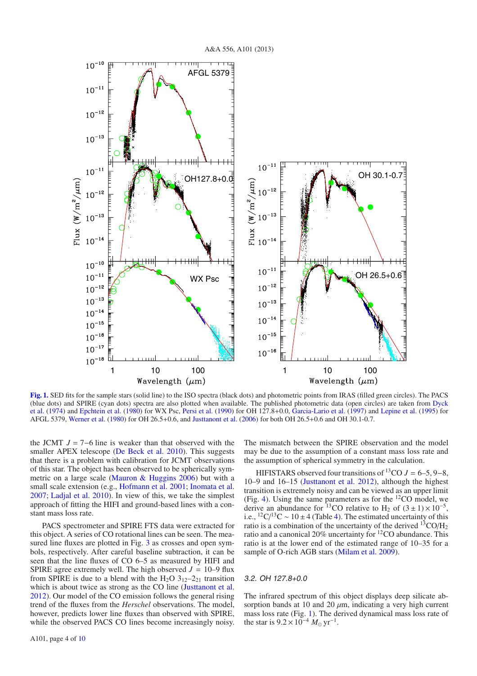

<span id="page-3-0"></span>**[Fig. 1.](http://dexter.edpsciences.org/applet.php?DOI=10.1051/0004-6361/201321812&pdf_id=1)** SED fits for the sample stars (solid line) to the ISO spectra (black dots) and photometric points from IRAS (filled green circles). The PACS (blu[e dots\) and SPIRE \(cyan dots\) spectra are also plotted when available. The published photometric data \(open circles\) are taken from](#page-8-23) Dyck et al. [\(1974](#page-8-23)) and [Epchtein et al.](#page-8-24) [\(1980\)](#page-8-24) for WX Psc, [Persi et al.](#page-9-18) [\(1990\)](#page-9-18) for OH 127.8+0.0, [Garcia-Lario et al.](#page-8-25) [\(1997](#page-8-25)) and [Lepine et al.](#page-8-26) [\(1995](#page-8-26)) for AFGL 5379, [Werner et al.](#page-9-19) [\(1980\)](#page-9-19) for OH 26.5+0.6, and [Justtanont et al.](#page-8-7) [\(2006](#page-8-7)) for both OH 26.5+0.6 and OH 30.1-0.7.

the JCMT  $J = 7-6$  line is weaker than that observed with the smaller APEX telescope [\(De Beck et al. 2010](#page-8-16)). This suggests that there is a problem with calibration for JCMT observations of this star. The object has been observed to be spherically symmetric on a large scale [\(Mauron & Huggins 2006](#page-9-20)) but with a small scale extension (e.g., [Hofmann et al. 2001;](#page-8-27) [Inomata et al.](#page-8-28) [2007;](#page-8-28) [Ladjal et al. 2010](#page-8-29)). In view of this, we take the simplest approach of fitting the HIFI and ground-based lines with a constant mass loss rate.

PACS spectrometer and SPIRE FTS data were extracted for this object. A series of CO rotational lines can be seen. The mea-sured line fluxes are plotted in Fig. [3](#page-4-1) as crosses and open symbols, respectively. After careful baseline subtraction, it can be seen that the line fluxes of CO 6–5 as measured by HIFI and SPIRE agree extremely well. The high observed  $J = 10-9$  flux from SPIRE is due to a blend with the H<sub>2</sub>O 3<sub>12</sub>-2<sub>21</sub> transition which is about twice as strong as the CO line [\(Justtanont et al.](#page-8-12) [2012\)](#page-8-12). Our model of the CO emission follows the general rising trend of the fluxes from the *Herschel* observations. The model, however, predicts lower line fluxes than observed with SPIRE, while the observed PACS CO lines become increasingly noisy. The mismatch between the SPIRE observation and the model may be due to the assumption of a constant mass loss rate and the assumption of spherical symmetry in the calculation.

HIFISTARS observed four transitions of <sup>13</sup>CO  $J = 6-5, 9-8$ , 10–9 and 16–15 [\(Justtanont et al. 2012\)](#page-8-12), although the highest transition is extremely noisy and can be viewed as an upper limit (Fig. [4\)](#page-4-2). Using the same parameters as for the 12CO model, we derive an abundance for <sup>13</sup>CO relative to H<sub>2</sub> of  $(3 \pm 1) \times 10^{-5}$ , i.e., <sup>12</sup>C/<sup>13</sup>C ~ 10 ± 4 (Table [4\)](#page-4-3). The estimated uncertainty of this ratio is a combination of the uncertainty of the derived  $^{13}CO/H_2$ ratio and a canonical 20% uncertainty for 12CO abundance. This ratio is at the lower end of the estimated range of 10–35 for a sample of O-rich AGB stars [\(Milam et al. 2009\)](#page-9-21).

#### 3.2. OH 127.8+0.0

The infrared spectrum of this object displays deep silicate absorption bands at 10 and 20  $\mu$ m, indicating a very high current mass loss rate (Fig. [1\)](#page-3-0). The derived dynamical mass loss rate of the star is  $9.2 \times 10^{-4} M_{\odot} \text{ yr}^{-1}$ .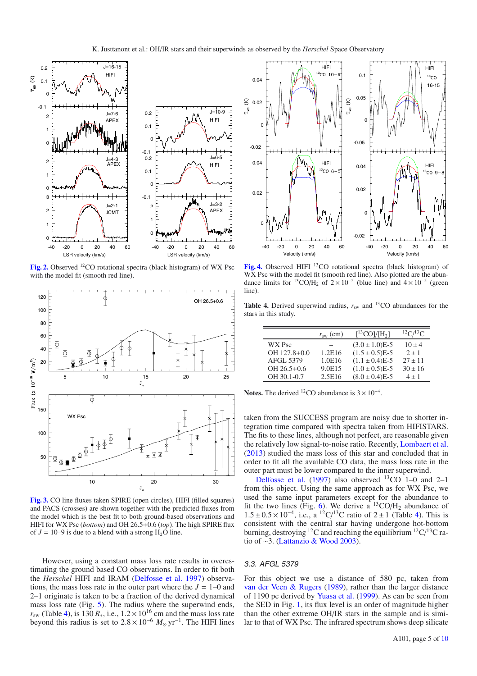<span id="page-4-0"></span>

[Fig. 2.](http://dexter.edpsciences.org/applet.php?DOI=10.1051/0004-6361/201321812&pdf_id=2) Observed <sup>12</sup>CO rotational spectra (black histogram) of WX Psc with the model fit (smooth red line).

<span id="page-4-1"></span>

**[Fig. 3.](http://dexter.edpsciences.org/applet.php?DOI=10.1051/0004-6361/201321812&pdf_id=3)** CO line fluxes taken SPIRE (open circles), HIFI (filled squares) and PACS (crosses) are shown together with the predicted fluxes from the model which is the best fit to both ground-based observations and HIFI for WX Psc (*bottom*) and OH 26.5+0.6 (*top*). The high SPIRE flux of  $J = 10-9$  is due to a blend with a strong  $H<sub>2</sub>O$  line.

However, using a constant mass loss rate results in overestimating the ground based CO observations. In order to fit both the *Herschel* HIFI and IRAM [\(Delfosse et al. 1997\)](#page-8-4) observations, the mass loss rate in the outer part where the  $J = 1-0$  and 2–1 originate is taken to be a fraction of the derived dynamical mass loss rate (Fig. [5\)](#page-5-0). The radius where the superwind ends,  $r_{sw}$  (Table [4\)](#page-4-3), is 130  $R_*$ , i.e.,  $1.2 \times 10^{16}$  cm and the mass loss rate beyond this radius is set to  $2.8 \times 10^{-6}$   $M_{\odot}$  yr<sup>-1</sup>. The HIFI lines

<span id="page-4-2"></span>

<span id="page-4-3"></span>[Fig. 4.](http://dexter.edpsciences.org/applet.php?DOI=10.1051/0004-6361/201321812&pdf_id=4) Observed HIFI <sup>13</sup>CO rotational spectra (black histogram) of WX Psc with the model fit (smooth red line). Also plotted are the abundance limits for <sup>13</sup>CO/H<sub>2</sub> of  $2 \times 10^{-5}$  (blue line) and  $4 \times 10^{-5}$  (green line).

**Table 4.** Derived superwind radius,  $r_{sw}$  and <sup>13</sup>CO abundances for the stars in this study.

|                  | $r_{\rm sw}$ (cm) | $[{}^{13}CO]/[H_2]$ | ${}^{12}C/{}^{13}C$ |
|------------------|-------------------|---------------------|---------------------|
| WX Psc           |                   | $(3.0 \pm 1.0)E-5$  | $10 \pm 4$          |
| OH 127.8+0.0     | 1.2E16            | $(1.5 \pm 0.5)E-5$  | $2 \pm 1$           |
| <b>AFGL 5379</b> | 1.0E16            | $(1.1 \pm 0.4)E-5$  | $27 \pm 11$         |
| $OH 26.5 + 0.6$  | 9.0E15            | $(1.0 \pm 0.5)E-5$  | $30 \pm 16$         |
| OH 30.1-0.7      | 2.5E16            | $(8.0 \pm 0.4)E-5$  | $4 + 1$             |

**Notes.** The derived <sup>12</sup>CO abundance is  $3 \times 10^{-4}$ .

taken from the SUCCESS program are noisy due to shorter integration time compared with spectra taken from HIFISTARS. The fits to these lines, although not perfect, are reasonable given the relatively low signal-to-noise ratio. Recently, [Lombaert et al.](#page-8-30) [\(2013\)](#page-8-30) studied the mass loss of this star and concluded that in order to fit all the available CO data, the mass loss rate in the outer part must be lower compared to the inner superwind.

Delfosse et al. [\(1997](#page-8-4)) also observed  $^{13}CO$  1–0 and 2–1 from this object. Using the same approach as for WX Psc, we used the same input parameters except for the abundance to fit the two lines (Fig. [6\)](#page-5-1). We derive a  ${}^{13}CO/H_2$  abundance of  $1.5 \pm 0.5 \times 10^{-4}$ , i.e., a <sup>12</sup>C/<sup>13</sup>C ratio of 2 ± 1 (Table [4\)](#page-4-3). This is consistent with the central star having undergone hot-bottom burning, destroying <sup>12</sup>C and reaching the equilibrium  $^{12}C/^{13}C$  ratio of ∼3. [\(Lattanzio & Wood 2003](#page-8-5)).

#### 3.3. AFGL 5379

For this object we use a distance of 580 pc, taken from [van der Veen & Rugers](#page-9-22) [\(1989](#page-9-22)), rather than the larger distance of 1190 pc derived by [Yuasa et al.](#page-9-23) [\(1999](#page-9-23)). As can be seen from the SED in Fig. [1,](#page-3-0) its flux level is an order of magnitude higher than the other extreme OH/IR stars in the sample and is similar to that of WX Psc. The infrared spectrum shows deep silicate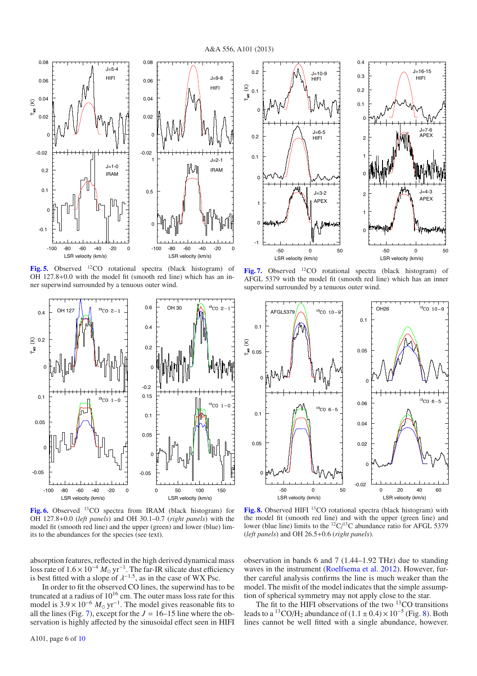<span id="page-5-0"></span>

**[Fig. 5.](http://dexter.edpsciences.org/applet.php?DOI=10.1051/0004-6361/201321812&pdf_id=5)** Observed 12CO rotational spectra (black histogram) of OH 127.8+0.0 with the model fit (smooth red line) which has an inner superwind surrounded by a tenuous outer wind.

<span id="page-5-1"></span>

**[Fig. 6.](http://dexter.edpsciences.org/applet.php?DOI=10.1051/0004-6361/201321812&pdf_id=6)** Observed 13CO spectra from IRAM (black histogram) for OH 127.8+0.0 (*left panels*) and OH 30.1–0.7 (*right panels*) with the model fit (smooth red line) and the upper (green) and lower (blue) limits to the abundances for the species (see text).

<span id="page-5-2"></span>

**[Fig. 7.](http://dexter.edpsciences.org/applet.php?DOI=10.1051/0004-6361/201321812&pdf_id=7)** Observed 12CO rotational spectra (black histogram) of AFGL 5379 with the model fit (smooth red line) which has an inner superwind surrounded by a tenuous outer wind.

<span id="page-5-3"></span>

[Fig. 8.](http://dexter.edpsciences.org/applet.php?DOI=10.1051/0004-6361/201321812&pdf_id=8) Observed HIFI <sup>13</sup>CO rotational spectra (black histogram) with the model fit (smooth red line) and with the upper (green line) and lower (blue line) limits to the  ${}^{12}C/{}^{13}C$  abundance ratio for AFGL 5379 (*left panels*) and OH 26.5+0.6 (*right panels*).

absorption features, reflected in the high derived dynamical mass loss rate of  $1.6 \times 10^{-4}$  *M*<sub>o</sub> yr<sup>-1</sup>. The far-IR silicate dust efficiency is best fitted with a slope of  $\lambda^{-1.5}$ , as in the case of WX Psc.

In order to fit the observed CO lines, the superwind has to be truncated at a radius of  $10^{16}$  cm. The outer mass loss rate for this model is  $3.9 \times 10^{-6}$   $M_{\odot}$  yr<sup>-1</sup>. The model gives reasonable fits to all the lines (Fig. [7\)](#page-5-2), except for the  $J = 16-15$  line where the observation is highly affected by the sinusoidal effect seen in HIFI observation in bands 6 and 7 (1.44–1.92 THz) due to standing waves in the instrument [\(Roelfsema et al. 2012](#page-9-11)). However, further careful analysis confirms the line is much weaker than the model. The misfit of the model indicates that the simple assumption of spherical symmetry may not apply close to the star.

The fit to the HIFI observations of the two  $13$ CO transitions leads to a <sup>13</sup>CO/H<sub>2</sub> abundance of  $(1.1 \pm 0.4) \times 10^{-5}$  (Fig. [8\)](#page-5-3). Both lines cannot be well fitted with a single abundance, however.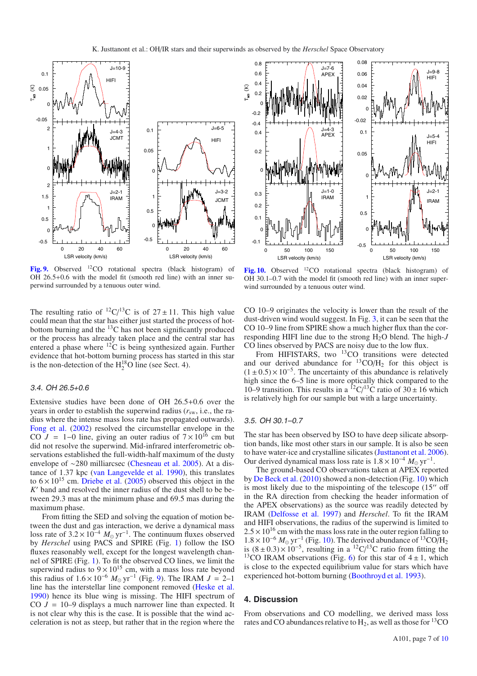<span id="page-6-0"></span>

**[Fig. 9.](http://dexter.edpsciences.org/applet.php?DOI=10.1051/0004-6361/201321812&pdf_id=9)** Observed 12CO rotational spectra (black histogram) of OH 26.5+0.6 with the model fit (smooth red line) with an inner superwind surrounded by a tenuous outer wind.

The resulting ratio of <sup>12</sup>C/<sup>13</sup>C is of  $27 \pm 11$ . This high value could mean that the star has either just started the process of hotbottom burning and the  $^{13}$ C has not been significantly produced or the process has already taken place and the central star has entered a phase where 12C is being synthesized again. Further evidence that hot-bottom burning process has started in this star is the non-detection of the  $H_2^{18}O$  line (see Sect. 4).

## 3.4. OH 26.5+0.6

Extensive studies have been done of OH 26.5+0.6 over the years in order to establish the superwind radius  $(r_{sw}, i.e.,$  the radius where the intense mass loss rate has propagated outwards). [Fong et al.](#page-8-15) [\(2002](#page-8-15)) resolved the circumstellar envelope in the CO  $J = 1-0$  line, giving an outer radius of  $7 \times 10^{16}$  cm but did not resolve the superwind. Mid-infrared interferometric observations established the full-width-half maximum of the dusty envelope of ∼280 milliarcsec [\(Chesneau et al. 2005\)](#page-8-31). At a distance of 1.37 kpc [\(van Langevelde et al. 1990\)](#page-9-24), this translates to  $6 \times 10^{15}$  cm. [Driebe et al.](#page-8-32) [\(2005\)](#page-8-32) observed this object in the *K*' band and resolved the inner radius of the dust shell to be between 29.3 mas at the minimum phase and 69.5 mas during the maximum phase.

From fitting the SED and solving the equation of motion between the dust and gas interaction, we derive a dynamical mass loss rate of  $3.2 \times 10^{-4}$  *M*<sub> $\odot$ </sub> yr<sup>-1</sup>. The continuum fluxes observed by *Herschel* using PACS and SPIRE (Fig. [1\)](#page-3-0) follow the ISO fluxes reasonably well, except for the longest wavelength channel of SPIRE (Fig. [1\)](#page-3-0). To fit the observed CO lines, we limit the superwind radius to  $9 \times 10^{15}$  cm, with a mass loss rate beyond this radius of  $1.6 \times 10^{-6}$  *M*<sub>o</sub> yr<sup>-1</sup> (Fig. [9\)](#page-6-0). The IRAM *J* = 2–1 line has the interstellar line component removed [\(Heske et al.](#page-8-1) [1990\)](#page-8-1) hence its blue wing is missing. The HIFI spectrum of CO *J* = 10–9 displays a much narrower line than expected. It is not clear why this is the case. It is possible that the wind acceleration is not as steep, but rather that in the region where the

<span id="page-6-1"></span>

**[Fig. 10.](http://dexter.edpsciences.org/applet.php?DOI=10.1051/0004-6361/201321812&pdf_id=10)** Observed 12CO rotational spectra (black histogram) of OH 30.1–0.7 with the model fit (smooth red line) with an inner superwind surrounded by a tenuous outer wind.

CO 10–9 originates the velocity is lower than the result of the dust-driven wind would suggest. In Fig. [3,](#page-4-1) it can be seen that the CO 10–9 line from SPIRE show a much higher flux than the corresponding HIFI line due to the strong H2O blend. The high-*J* CO lines observed by PACS are noisy due to the low flux.

From HIFISTARS, two <sup>13</sup>CO transitions were detected and our derived abundance for  ${}^{13}CO/H_2$  for this object is  $(1 \pm 0.5) \times 10^{-5}$ . The uncertainty of this abundance is relatively high since the 6–5 line is more optically thick compared to the 10–9 transition. This results in a <sup>12</sup>C/<sup>13</sup>C ratio of 30  $\pm$  16 which is relatively high for our sample but with a large uncertainty.

#### 3.5. OH 30.1–0.7

The star has been observed by ISO to have deep silicate absorption bands, like most other stars in our sample. It is also be seen to have water-ice and crystalline silicates [\(Justtanont et al. 2006\)](#page-8-7). Our derived dynamical mass loss rate is  $1.8 \times 10^{-4}$  *M*<sub>o</sub> yr<sup>-1</sup>.

The ground-based CO observations taken at APEX reported by [De Beck et al.](#page-8-16) [\(2010](#page-8-16)) showed a non-detection (Fig. [10\)](#page-6-1) which is most likely due to the mispointing of the telescope  $(15<sup>′</sup>$  off in the RA direction from checking the header information of the APEX observations) as the source was readily detected by IRAM [\(Delfosse et al. 1997](#page-8-4)) and *Herschel*. To fit the IRAM and HIFI observations, the radius of the superwind is limited to  $2.5 \times 10^{16}$  cm with the mass loss rate in the outer region falling to  $1.8 \times 10^{-6}$   $M_{\odot}$  yr<sup>-1</sup> (Fig. [10\)](#page-6-1). The derived abundance of <sup>13</sup>CO/H<sub>2</sub> is  $(8 \pm 0.3) \times 10^{-5}$ , resulting in a <sup>12</sup>C/<sup>13</sup>C ratio from fitting the <sup>13</sup>CO IRAM observations (Fig. [6\)](#page-5-1) for this star of  $4 \pm 1$ , which is close to the expected equilibrium value for stars which have experienced hot-bottom burning [\(Boothroyd et al. 1993](#page-8-19)).

## **4. Discussion**

From observations and CO modelling, we derived mass loss rates and CO abundances relative to  $H_2$ , as well as those for <sup>13</sup>CO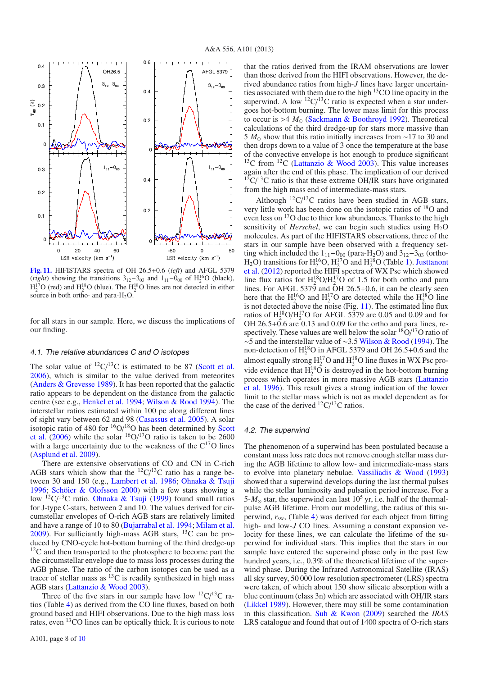<span id="page-7-0"></span>

**[Fig. 11.](http://dexter.edpsciences.org/applet.php?DOI=10.1051/0004-6361/201321812&pdf_id=11)** HIFISTARS spectra of OH 26.5+0.6 (*left*) and AFGL 5379 (*right*) showing the transitions  $3_{12} - 3_{03}$  and  $1_{11} - 0_{00}$  of H<sub>2</sub><sup>1</sup>O (black),  $H_2^{17}O$  (red) and  $H_2^{18}O$  (blue). The  $H_2^{18}O$  lines are not detected in either source in both ortho- and para-H<sub>2</sub>O.

for all stars in our sample. Here, we discuss the implications of our finding.

#### 4.1. The relative abundances C and O isotopes

The solar value of  ${}^{12}C/{}^{13}C$  is estimated to be 87 [\(Scott et al.](#page-9-25) [2006\)](#page-9-25), which is similar to the value derived from meteorites [\(Anders & Grevesse 1989\)](#page-8-33). It has been reported that the galactic ratio appears to be dependent on the distance from the galactic centre (see e.g., [Henkel et al. 1994](#page-8-34); [Wilson & Rood 1994\)](#page-9-26). The interstellar ratios estimated within 100 pc along different lines of sight vary between 62 and 98 [\(Casassus et al. 2005\)](#page-8-35). A solar isotopic ratio of 480 for  $\frac{16}{9}$ / $\frac{18}{9}$  [has](#page-9-25) [been](#page-9-25) [determined](#page-9-25) [by](#page-9-25) Scott et al. [\(2006](#page-9-25)) while the solar  $\frac{160}{17}$ O ratio is taken to be 2600 with a large uncertainty due to the weakness of the  $C^{17}O$  lines [\(Asplund et al. 2009](#page-8-36)).

There are extensive observations of CO and CN in C-rich AGB stars which show that the  ${}^{12}C/{}^{13}C$  ratio has a range between 30 and 150 (e.g., [Lambert et al. 1986](#page-8-37); [Ohnaka & Tsuji](#page-9-27) [1996;](#page-9-27) [Schöier & Olofsson 2000](#page-9-28)) with a few stars showing a low <sup>12</sup>C/<sup>13</sup>C ratio. [Ohnaka & Tsuji](#page-9-29) [\(1999\)](#page-9-29) found small ratios for J-type C-stars, between 2 and 10. The values derived for circumstellar envelopes of O-rich AGB stars are relatively limited and have a range of 10 to 80 [\(Bujarrabal et al. 1994;](#page-8-38) [Milam et al.](#page-9-21)  $2009$ ). For sufficiantly high-mass AGB stars, <sup>13</sup>C can be produced by CNO-cycle hot-bottom burning of the third dredge-up  $12<sup>12</sup>C$  and then transported to the photosphere to become part the the circumstellar envelope due to mass loss processes during the AGB phase. The ratio of the carbon isotopes can be used as a tracer of stellar mass as  ${}^{13}$ C is readily synthesized in high mass AGB stars [\(Lattanzio & Wood 2003](#page-8-5)).

Three of the five stars in our sample have low  ${}^{12}C/{}^{13}C$  ratios (Table [4\)](#page-4-3) as derived from the CO line fluxes, based on both ground based and HIFI observations. Due to the high mass loss rates, even 13CO lines can be optically thick. It is curious to note that the ratios derived from the IRAM observations are lower than those derived from the HIFI observations. However, the derived abundance ratios from high-*J* lines have larger uncertainties associated with them due to the high 13CO line opacity in the superwind. A low  ${}^{12}C/{}^{13}C$  ratio is expected when a star undergoes hot-bottom burning. The lower mass limit for this process to occur is  $>4$   $M_{\odot}$  [\(Sackmann & Boothroyd 1992](#page-9-4)). Theoretical calculations of the third dredge-up for stars more massive than 5 *M*<sub>⊙</sub> show that this ratio initially increases from ~17 to 30 and then drops down to a value of 3 once the temperature at the base of the convective envelope is hot enough to produce significant  $13^{\circ}$ C from  $12^{\circ}$  [\(Lattanzio & Wood 2003\)](#page-8-5). This value increases again after the end of this phase. The implication of our derived  $12^{\circ}$ C/<sup>13</sup>C ratio is that these extreme OH/IR stars have originated from the high mass end of intermediate-mass stars.

Although  ${}^{12}C/{}^{13}C$  ratios have been studied in AGB stars, very little work has been done on the isotopic ratios of 18O and even less on 17O due to thier low abundances. Thanks to the high sensitivity of *Herschel*, we can begin such studies using  $H_2O$ molecules. As part of the HIFISTARS observations, three of the stars in our sample have been observed with a frequency setting which included the  $1_{11}$ – $0_{00}$  (para-H<sub>2</sub>O) and  $3_{12}$ – $3_{03}$  (ortho- $H_2O$ ) transitions for  $H_2^{16}O$ ,  $H_2^{17}O$  and  $H_2^{18}O$  (Table [1\)](#page-1-0). Justtanont et al. [\(2012](#page-8-12)) reported the HIFI spectra of WX Psc which showed line flux ratios for  $H_2^{18}O/H_2^{17}O$  of 1.5 for both ortho and para lines. For AFGL 5379 and  $\ddot{O}H$  26.5+0.6, it can be clearly seen here that the  $H_2^{16}O$  and  $H_2^{17}O$  are detected while the  $H_2^{18}O$  line is not detected above the noise (Fig. [11\)](#page-7-0). The estimated line flux ratios of  $H_2^{18}O/H_2^{17}O$  for AFGL 5379 are 0.05 and 0.09 and for OH  $26.5+\overline{0.6}$  are  $\overline{0.13}$  and  $0.09$  for the ortho and para lines, respectively. These values are well below the solar  $\frac{18}{9}$ O/ $\frac{17}{9}$  ratio of ∼5 and the interstellar value of ∼3.5 [Wilson & Rood](#page-9-26) [\(1994](#page-9-26)). The non-detection of  $H_2^{18}O$  in AFGL 5379 and OH 26.5+0.6 and the almost equally strong  $H_2^{17}O$  and  $H_2^{18}O$  line fluxes in WX Psc provide evidence that  $H_2^{18}O$  is destroyed in the hot-bottom burning proc[ess](#page-8-39) [which](#page-8-39) [operates](#page-8-39) [in](#page-8-39) [more](#page-8-39) [massive](#page-8-39) [AGB](#page-8-39) [stars](#page-8-39) [\(](#page-8-39)Lattanzio et al. [1996\)](#page-8-39). This result gives a strong indication of the lower limit to the stellar mass which is not as model dependent as for the case of the derived  $^{12}C/^{13}C$  ratios.

#### 4.2. The superwind

The phenomenon of a superwind has been postulated because a constant mass loss rate does not remove enough stellar mass during the AGB lifetime to allow low- and intermediate-mass stars to evolve into planetary nebulae. [Vassiliadis & Wood](#page-9-2) [\(1993](#page-9-2)) showed that a superwind develops during the last thermal pulses while the stellar luminosity and pulsation period increase. For a  $5-M_{\odot}$  star, the superwind can last  $10^5$  yr, i.e. half of the thermalpulse AGB lifetime. From our modelling, the radius of this superwind, *r*sw, (Table [4\)](#page-4-3) was derived for each object from fitting high- and low-*J* CO lines. Assuming a constant expansion velocity for these lines, we can calculate the lifetime of the superwind for individual stars. This implies that the stars in our sample have entered the superwind phase only in the past few hundred years, i.e., 0.3% of the theoretical lifetime of the superwind phase. During the Infrared Astronomical Satellite (IRAS) all sky survey, 50 000 low resolution spectrometer (LRS) spectra were taken, of which about 150 show silicate absorption with a blue continuum (class 3n) which are associated with OH/IR stars [\(Likkel 1989\)](#page-8-40). However, there may still be some contamination in this classification. [Suh & Kwon](#page-9-30) [\(2009\)](#page-9-30) searched the *IRAS* LRS catalogue and found that out of 1400 spectra of O-rich stars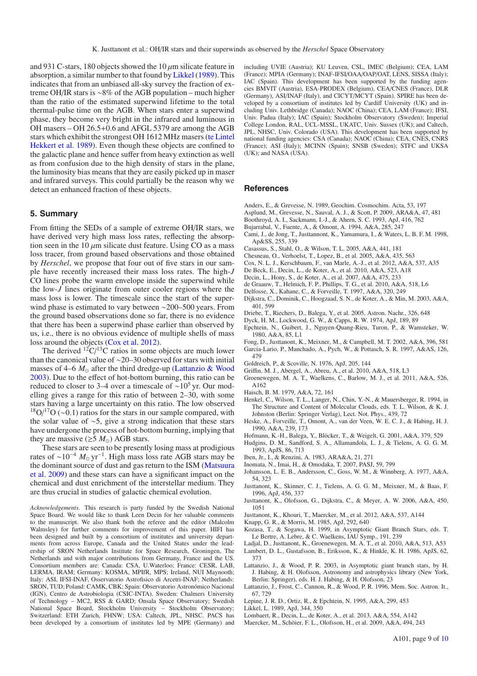and 931 C-stars, 180 objects showed the 10  $\mu$ m silicate feature in absorption, a similar number to that found by [Likkel](#page-8-40) [\(1989](#page-8-40)). This indicates that from an unbiased all-sky survey the fraction of extreme OH/IR stars is ∼8% of the AGB population – much higher than the ratio of the estimated superwind lifetime to the total thermal-pulse time on the AGB. When stars enter a superwind phase, they become very bright in the infrared and luminous in OH masers – OH 26.5+0.6 and AFGL 5379 are among the AGB stars which e[xhibit](#page-9-0) [the](#page-9-0) [strongest](#page-9-0) [OH](#page-9-0) [1612](#page-9-0) [MHz](#page-9-0) [masers](#page-9-0) [\(](#page-9-0)te Lintel Hekkert et al. [1989](#page-9-0)). Even though these objects are confined to the galactic plane and hence suffer from heavy extinction as well as from confusion due to the high density of stars in the plane, the luminosity bias means that they are easily picked up in maser and infrared surveys. This could partially be the reason why we detect an enhanced fraction of these objects.

## **5. Summary**

From fitting the SEDs of a sample of extreme OH/IR stars, we have derived very high mass loss rates, reflecting the absorption seen in the 10  $\mu$ m silicate dust feature. Using CO as a mass loss tracer, from ground based observations and those obtained by *Herschel*, we propose that four out of five stars in our sample have recently increased their mass loss rates. The high-*J* CO lines probe the warm envelope inside the superwind while the low-*J* lines originate from outer cooler regions where the mass loss is lower. The timescale since the start of the superwind phase is estimated to vary between ∼200–500 years. From the ground based observations done so far, there is no evidence that there has been a superwind phase earlier than observed by us, i.e., there is no obvious evidence of multiple shells of mass loss around the objects [\(Cox et al. 2012\)](#page-8-41).

The derived  $\rm ^{12}C/^{13}C$  ratios in some objects are much lower than the canonical value of ∼20–30 observed for stars with initial masses of  $4-6$   $M_{\odot}$  after the third dredge-up [\(Lattanzio & Wood](#page-8-5) [2003\)](#page-8-5). Due to the effect of hot-bottom burning, this ratio can be reduced to closer to 3–4 over a timescale of ~10<sup>5</sup> yr. Our modelling gives a range for this ratio of between 2–30, with some stars having a large uncertainty on this ratio. The low observed  $^{18}O/^{17}O$  (~0.1) ratios for the stars in our sample compared, with the solar value of ∼5, give a strong indication that these stars have undergone the process of hot-bottom burning, implying that they are massive ( $\geq$ 5  $M_{\odot}$ ) AGB stars.

These stars are seen to be presently losing mass at prodigious rates of  $\sim 10^{-4}$  *M*<sub> $\odot$ </sub> yr<sup>-1</sup>. High mass loss rate AGB stars may be the [dominant source of dust and gas return to the ISM \(](#page-9-31)Matsuura et al. [2009](#page-9-31)) and these stars can have a significant impact on the chemical and dust enrichment of the interstellar medium. They are thus crucial in studies of galactic chemical evolution.

*Acknowledgements.* This research is party funded by the Swedish National Space Board. We would like to thank Leen Decin for her valuable comments to the manuscript. We also thank both the referee and the editor (Malcolm Walmsley) for further comments for improvement of this paper. HIFI has been designed and built by a consortium of institutes and university departments from across Europe, Canada and the United States under the leadership of SRON Netherlands Institute for Space Research, Groningen, The Netherlands and with major contributions from Germany, France and the US. Consortium members are: Canada: CSA, U.Waterloo; France: CESR, LAB, LERMA, IRAM; Germany: KOSMA, MPIfR, MPS; Ireland, NUI Maynooth; Italy: ASI, IFSI-INAF, Osservatorio Astrofisico di Arcetri-INAF; Netherlands: SRON, TUD; Poland: CAMK, CBK; Spain: Observatorio Astronómico Nacional (IGN), Centro de Astrobiologia (CSIC-INTA). Sweden: Chalmers University of Technology – MC2, RSS & GARD; Onsala Space Observatory; Swedish National Space Board, Stockholm University – Stockholm Observatory; Switzerland: ETH Zurich, FHNW; USA: Caltech, JPL, NHSC. PACS has been developed by a consortium of institutes led by MPE (Germany) and including UVIE (Austria); KU Leuven, CSL, IMEC (Belgium); CEA, LAM (France); MPIA (Germany); INAF-IFSI/OAA/OAP/OAT, LENS, SISSA (Italy); IAC (Spain). This development has been supported by the funding agencies BMVIT (Austria), ESA-PRODEX (Belgium), CEA/CNES (France), DLR (Germany), ASI/INAF (Italy), and CICYT/MCYT (Spain). SPIRE has been developed by a consortium of institutes led by Cardiff University (UK) and including Univ. Lethbridge (Canada); NAOC (China); CEA, LAM (France); IFSI, Univ. Padua (Italy); IAC (Spain); Stockholm Observatory (Sweden); Imperial College London, RAL, UCL-MSSL, UKATC, Univ. Sussex (UK); and Caltech, JPL, NHSC, Univ. Colorado (USA). This development has been supported by national funding agencies: CSA (Canada); NAOC (China); CEA, CNES, CNRS (France); ASI (Italy); MCINN (Spain); SNSB (Sweden); STFC and UKSA (UK); and NASA (USA).

#### **References**

- Anders, E., & Grevesse, N. 1989, Geochim. Cosmochim. Acta, 53, 197
- <span id="page-8-36"></span><span id="page-8-33"></span>Asplund, M., Grevesse, N., Sauval, A. J., & Scott, P. 2009, ARA&A, 47, 481
- <span id="page-8-38"></span><span id="page-8-19"></span>Boothroyd, A. I., Sackmann, I.-J., & Ahern, S. C. 1993, ApJ, 416, 762
- Bujarrabal, V., Fuente, A., & Omont, A. 1994, A&A, 285, 247
- <span id="page-8-8"></span>Cami, J., de Jong, T., Justtannont, K., Yamamura, I., & Waters, L. B. F. M. 1998, Ap&SS, 255, 339
- <span id="page-8-35"></span>Casassus, S., Stahl, O., & Wilson, T. L. 2005, A&A, 441, 181
- <span id="page-8-31"></span>Chesneau, O., Verhoelst, T., Lopez, B., et al. 2005, A&A, 435, 563
- <span id="page-8-41"></span>Cox, N. L. J., Kerschbaum, F., van Marle, A.-J., et al. 2012, A&A, 537, A35
- <span id="page-8-16"></span>De Beck, E., Decin, L., de Koter, A., et al. 2010, A&A, 523, A18
- Decin, L., Hony, S., de Koter, A., et al. 2007, A&A, 475, 233
- <span id="page-8-22"></span><span id="page-8-11"></span>de Graauw, T., Helmich, F. P., Phillips, T. G., et al. 2010, A&A, 518, L6
- <span id="page-8-4"></span>Delfosse, X., Kahane, C., & Forveille, T. 1997, A&A, 320, 249
- <span id="page-8-6"></span>Dijkstra, C., Dominik, C., Hoogzaad, S. N., de Koter, A., & Min, M. 2003, A&A, 401, 599
- <span id="page-8-32"></span>Driebe, T., Riechers, D., Balega, Y., et al. 2005, Astron. Nachr., 326, 648
- <span id="page-8-23"></span>Dyck, H. M., Lockwood, G. W., & Capps, R. W. 1974, ApJ, 189, 89
- <span id="page-8-24"></span>Epchtein, N., Guibert, J., Nguyen-Quang-Rieu, Turon, P., & Wamsteker, W. 1980, A&A, 85, L1
- <span id="page-8-15"></span>Fong, D., Justtanont, K., Meixner, M., & Campbell, M. T. 2002, A&A, 396, 581
- <span id="page-8-25"></span>Garcia-Lario, P., Manchado, A., Pych, W., & Pottasch, S. R. 1997, A&AS, 126, 479
- <span id="page-8-18"></span>Goldreich, P., & Scoville, N. 1976, ApJ, 205, 144
- <span id="page-8-13"></span>Griffin, M. J., Abergel, A., Abreu, A., et al. 2010, A&A, 518, L3
- <span id="page-8-14"></span>Groenewegen, M. A. T., Waelkens, C., Barlow, M. J., et al. 2011, A&A, 526, A162
- <span id="page-8-17"></span>Haisch, B. M. 1979, A&A, 72, 161
- <span id="page-8-34"></span>Henkel, C., Wilson, T. L., Langer, N., Chin, Y.-N., & Mauersberger, R. 1994, in The Structure and Content of Molecular Clouds, eds. T. L. Wilson, & K. J. Johnston (Berlin: Springer Verlag), Lect. Not. Phys., 439, 72
- <span id="page-8-1"></span>Heske, A., Forveille, T., Omont, A., van der Veen, W. E. C. J., & Habing, H. J. 1990, A&A, 239, 173
- <span id="page-8-27"></span>Hofmann, K.-H., Balega, Y., Blöcker, T., & Weigelt, G. 2001, A&A, 379, 529
- <span id="page-8-9"></span>Hudgins, D. M., Sandford, S. A., Allamandola, L. J., & Tielens, A. G. G. M. 1993, ApJS, 86, 713
- Iben, Jr., I., & Renzini, A. 1983, ARA&A, 21, 271
- Inomata, N., Imai, H., & Omodaka, T. 2007, PASJ, 59, 799
- <span id="page-8-28"></span><span id="page-8-3"></span><span id="page-8-0"></span>Johansson, L. E. B., Andersson, C., Goss, W. M., & Winnberg, A. 1977, A&A, 54, 323
- <span id="page-8-2"></span>Justtanont, K., Skinner, C. J., Tielens, A. G. G. M., Meixner, M., & Baas, F. 1996, ApJ, 456, 337
- <span id="page-8-7"></span>Justtanont, K., Olofsson, G., Dijkstra, C., & Meyer, A. W. 2006, A&A, 450, 1051
- <span id="page-8-20"></span><span id="page-8-12"></span>Justtanont, K., Khouri, T., Maercker, M., et al. 2012, A&A, 537, A144
- Knapp, G. R., & Morris, M. 1985, ApJ, 292, 640
- <span id="page-8-10"></span>Kozasa, T., & Sogawa, H. 1999, in Asymptotic Giant Branch Stars, eds. T. Le Bertre, A. Lebre, & C. Waelkens, IAU Symp., 191, 239
- <span id="page-8-29"></span>Ladjal, D., Justtanont, K., Groenewegen, M. A. T., et al. 2010, A&A, 513, A53

<span id="page-8-37"></span>Lambert, D. L., Gustafsson, B., Eriksson, K., & Hinkle, K. H. 1986, ApJS, 62, 373

- <span id="page-8-5"></span>Lattanzio, J., & Wood, P. R. 2003, in Asymptotic giant branch stars, by H. J. Habing, & H. Olofsson, Astronomy and astrophysics library (New York, Berlin: Springer), eds. H. J. Habing, & H. Olofsson, 23
- <span id="page-8-39"></span>Lattanzio, J., Frost, C., Cannon, R., & Wood, P. R. 1996, Mem. Soc. Astron. It., 67, 729
- <span id="page-8-26"></span>Lepine, J. R. D., Ortiz, R., & Epchtein, N. 1995, A&A, 299, 453
- Likkel, L. 1989, ApJ, 344, 350
- <span id="page-8-40"></span><span id="page-8-30"></span>Lombaert, R., Decin, L., de Koter, A., et al. 2013, A&A, 554, A142
- <span id="page-8-21"></span>Maercker, M., Schöier, F. L., Olofsson, H., et al. 2009, A&A, 494, 243